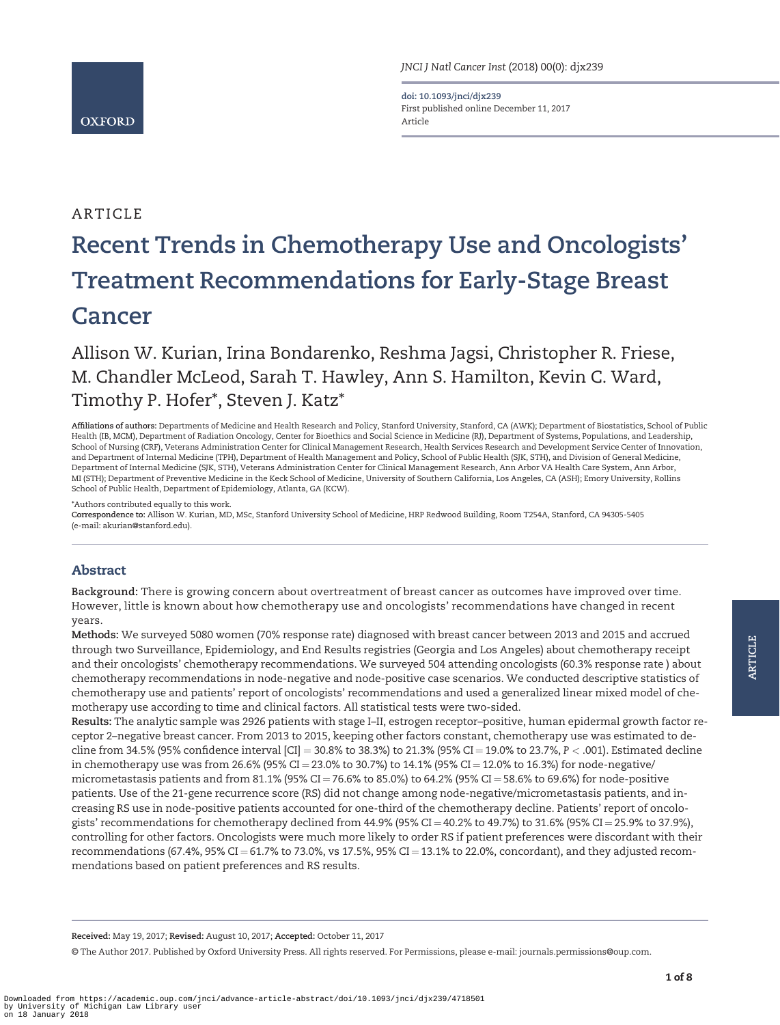

doi: 10.1093/jnci/djx239 First published online December 11, 2017 Article

# ARTICLE

# Recent Trends in Chemotherapy Use and Oncologists' Treatment Recommendations for Early-Stage Breast **Cancer**

Allison W. Kurian, Irina Bondarenko, Reshma Jagsi, Christopher R. Friese, M. Chandler McLeod, Sarah T. Hawley, Ann S. Hamilton, Kevin C. Ward, Timothy P. Hofer\*, Steven J. Katz\*

Affiliations of authors: Departments of Medicine and Health Research and Policy, Stanford University, Stanford, CA (AWK); Department of Biostatistics, School of Public Health (IB, MCM), Department of Radiation Oncology, Center for Bioethics and Social Science in Medicine (RJ), Department of Systems, Populations, and Leadership, School of Nursing (CRF), Veterans Administration Center for Clinical Management Research, Health Services Research and Development Service Center of Innovation, and Department of Internal Medicine (TPH), Department of Health Management and Policy, School of Public Health (SJK, STH), and Division of General Medicine, Department of Internal Medicine (SJK, STH), Veterans Administration Center for Clinical Management Research, Ann Arbor VA Health Care System, Ann Arbor, MI (STH); Department of Preventive Medicine in the Keck School of Medicine, University of Southern California, Los Angeles, CA (ASH); Emory University, Rollins School of Public Health, Department of Epidemiology, Atlanta, GA (KCW).

\*Authors contributed equally to this work.

Correspondence to: Allison W. Kurian, MD, MSc, Stanford University School of Medicine, HRP Redwood Building, Room T254A, Stanford, CA 94305-5405 (e-mail: [akurian@stanford.edu\).](mailto:akurian@stanford.edu)

# Abstract

Background: There is growing concern about overtreatment of breast cancer as outcomes have improved over time. However, little is known about how chemotherapy use and oncologists' recommendations have changed in recent years.

Methods: We surveyed 5080 women (70% response rate) diagnosed with breast cancer between 2013 and 2015 and accrued through two Surveillance, Epidemiology, and End Results registries (Georgia and Los Angeles) about chemotherapy receipt and their oncologists' chemotherapy recommendations. We surveyed 504 attending oncologists (60.3% response rate ) about chemotherapy recommendations in node-negative and node-positive case scenarios. We conducted descriptive statistics of chemotherapy use and patients' report of oncologists' recommendations and used a generalized linear mixed model of chemotherapy use according to time and clinical factors. All statistical tests were two-sided.

Results: The analytic sample was 2926 patients with stage I–II, estrogen receptor–positive, human epidermal growth factor receptor 2–negative breast cancer. From 2013 to 2015, keeping other factors constant, chemotherapy use was estimated to decline from 34.5% (95% confidence interval [CI] = 30.8% to 38.3%) to 21.3% (95% CI = 19.0% to 23.7%,  $P < .001$ ). Estimated decline in chemotherapy use was from 26.6% (95% CI = 23.0% to 30.7%) to 14.1% (95% CI = 12.0% to 16.3%) for node-negative/ micrometastasis patients and from 81.1% (95% CI = 76.6% to 85.0%) to 64.2% (95% CI = 58.6% to 69.6%) for node-positive patients. Use of the 21-gene recurrence score (RS) did not change among node-negative/micrometastasis patients, and increasing RS use in node-positive patients accounted for one-third of the chemotherapy decline. Patients' report of oncologists' recommendations for chemotherapy declined from  $44.9\%$  (95% CI = 40.2% to 49.7%) to 31.6% (95% CI = 25.9% to 37.9%), controlling for other factors. Oncologists were much more likely to order RS if patient preferences were discordant with their recommendations (67.4%, 95% CI = 61.7% to 73.0%, vs 17.5%, 95% CI = 13.1% to 22.0%, concordant), and they adjusted recommendations based on patient preferences and RS results.

Received: May 19, 2017; Revised: August 10, 2017; Accepted: October 11, 2017

© The Author 2017. Published by Oxford University Press. All rights reserved. For Permissions, please e-mail: journals.permissions@oup.com.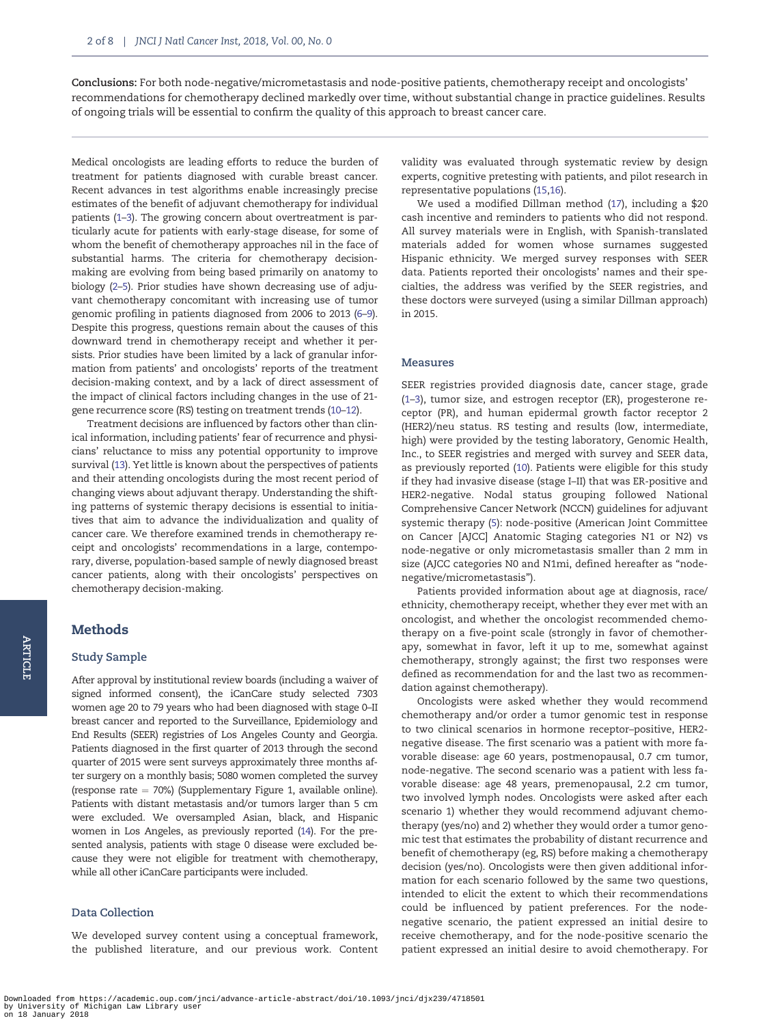Conclusions: For both node-negative/micrometastasis and node-positive patients, chemotherapy receipt and oncologists' recommendations for chemotherapy declined markedly over time, without substantial change in practice guidelines. Results of ongoing trials will be essential to confirm the quality of this approach to breast cancer care.

Medical oncologists are leading efforts to reduce the burden of treatment for patients diagnosed with curable breast cancer. Recent advances in test algorithms enable increasingly precise estimates of the benefit of adjuvant chemotherapy for individual patients ([1–3\)](#page-7-0). The growing concern about overtreatment is particularly acute for patients with early-stage disease, for some of whom the benefit of chemotherapy approaches nil in the face of substantial harms. The criteria for chemotherapy decisionmaking are evolving from being based primarily on anatomy to biology ([2–5\)](#page-7-0). Prior studies have shown decreasing use of adjuvant chemotherapy concomitant with increasing use of tumor genomic profiling in patients diagnosed from 2006 to 2013 ([6–9](#page-7-0)). Despite this progress, questions remain about the causes of this downward trend in chemotherapy receipt and whether it persists. Prior studies have been limited by a lack of granular information from patients' and oncologists' reports of the treatment decision-making context, and by a lack of direct assessment of the impact of clinical factors including changes in the use of 21 gene recurrence score (RS) testing on treatment trends [\(10–12](#page-7-0)).

Treatment decisions are influenced by factors other than clinical information, including patients' fear of recurrence and physicians' reluctance to miss any potential opportunity to improve survival [\(13](#page-7-0)). Yet little is known about the perspectives of patients and their attending oncologists during the most recent period of changing views about adjuvant therapy. Understanding the shifting patterns of systemic therapy decisions is essential to initiatives that aim to advance the individualization and quality of cancer care. We therefore examined trends in chemotherapy receipt and oncologists' recommendations in a large, contemporary, diverse, population-based sample of newly diagnosed breast cancer patients, along with their oncologists' perspectives on chemotherapy decision-making.

# **Methods**

#### Study Sample

After approval by institutional review boards (including a waiver of signed informed consent), the iCanCare study selected 7303 women age 20 to 79 years who had been diagnosed with stage 0–II breast cancer and reported to the Surveillance, Epidemiology and End Results (SEER) registries of Los Angeles County and Georgia. Patients diagnosed in the first quarter of 2013 through the second quarter of 2015 were sent surveys approximately three months after surgery on a monthly basis; 5080 women completed the survey (response rate  $= 70\%$ ) (Supplementary Figure 1, available online). Patients with distant metastasis and/or tumors larger than 5 cm were excluded. We oversampled Asian, black, and Hispanic women in Los Angeles, as previously reported [\(14](#page-7-0)). For the presented analysis, patients with stage 0 disease were excluded because they were not eligible for treatment with chemotherapy, while all other iCanCare participants were included.

## Data Collection

We developed survey content using a conceptual framework, the published literature, and our previous work. Content validity was evaluated through systematic review by design experts, cognitive pretesting with patients, and pilot research in representative populations ([15,16](#page-7-0)).

We used a modified Dillman method [\(17\)](#page-7-0), including a \$20 cash incentive and reminders to patients who did not respond. All survey materials were in English, with Spanish-translated materials added for women whose surnames suggested Hispanic ethnicity. We merged survey responses with SEER data. Patients reported their oncologists' names and their specialties, the address was verified by the SEER registries, and these doctors were surveyed (using a similar Dillman approach) in 2015.

#### Measures

SEER registries provided diagnosis date, cancer stage, grade ([1](#page-7-0)–[3](#page-7-0)), tumor size, and estrogen receptor (ER), progesterone receptor (PR), and human epidermal growth factor receptor 2 (HER2)/neu status. RS testing and results (low, intermediate, high) were provided by the testing laboratory, Genomic Health, Inc., to SEER registries and merged with survey and SEER data, as previously reported [\(10\)](#page-7-0). Patients were eligible for this study if they had invasive disease (stage I–II) that was ER-positive and HER2-negative. Nodal status grouping followed National Comprehensive Cancer Network (NCCN) guidelines for adjuvant systemic therapy [\(5](#page-7-0)): node-positive (American Joint Committee on Cancer [AJCC] Anatomic Staging categories N1 or N2) vs node-negative or only micrometastasis smaller than 2 mm in size (AJCC categories N0 and N1mi, defined hereafter as "nodenegative/micrometastasis").

Patients provided information about age at diagnosis, race/ ethnicity, chemotherapy receipt, whether they ever met with an oncologist, and whether the oncologist recommended chemotherapy on a five-point scale (strongly in favor of chemotherapy, somewhat in favor, left it up to me, somewhat against chemotherapy, strongly against; the first two responses were defined as recommendation for and the last two as recommendation against chemotherapy).

Oncologists were asked whether they would recommend chemotherapy and/or order a tumor genomic test in response to two clinical scenarios in hormone receptor–positive, HER2 negative disease. The first scenario was a patient with more favorable disease: age 60 years, postmenopausal, 0.7 cm tumor, node-negative. The second scenario was a patient with less favorable disease: age 48 years, premenopausal, 2.2 cm tumor, two involved lymph nodes. Oncologists were asked after each scenario 1) whether they would recommend adjuvant chemotherapy (yes/no) and 2) whether they would order a tumor genomic test that estimates the probability of distant recurrence and benefit of chemotherapy (eg, RS) before making a chemotherapy decision (yes/no). Oncologists were then given additional information for each scenario followed by the same two questions, intended to elicit the extent to which their recommendations could be influenced by patient preferences. For the nodenegative scenario, the patient expressed an initial desire to receive chemotherapy, and for the node-positive scenario the patient expressed an initial desire to avoid chemotherapy. For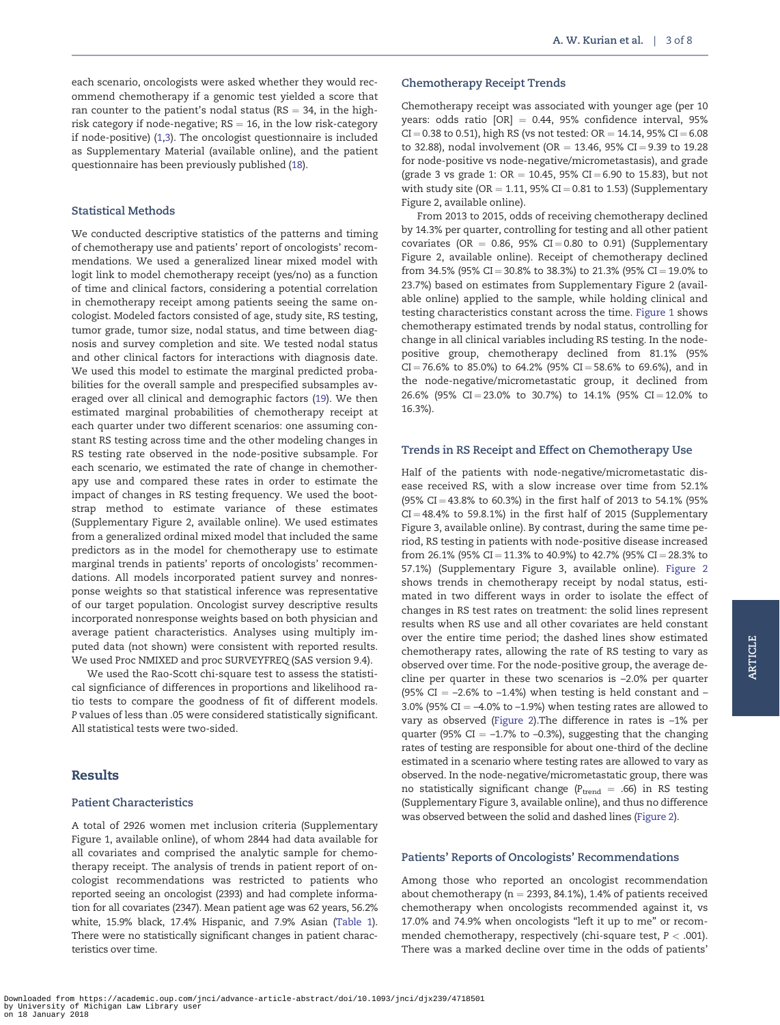#### Statistical Methods

We conducted descriptive statistics of the patterns and timing of chemotherapy use and patients' report of oncologists' recommendations. We used a generalized linear mixed model with logit link to model chemotherapy receipt (yes/no) as a function of time and clinical factors, considering a potential correlation in chemotherapy receipt among patients seeing the same oncologist. Modeled factors consisted of age, study site, RS testing, tumor grade, tumor size, nodal status, and time between diagnosis and survey completion and site. We tested nodal status and other clinical factors for interactions with diagnosis date. We used this model to estimate the marginal predicted probabilities for the overall sample and prespecified subsamples averaged over all clinical and demographic factors ([19](#page-7-0)). We then estimated marginal probabilities of chemotherapy receipt at each quarter under two different scenarios: one assuming constant RS testing across time and the other modeling changes in RS testing rate observed in the node-positive subsample. For each scenario, we estimated the rate of change in chemotherapy use and compared these rates in order to estimate the impact of changes in RS testing frequency. We used the bootstrap method to estimate variance of these estimates (Supplementary Figure 2, available online). We used estimates from a generalized ordinal mixed model that included the same predictors as in the model for chemotherapy use to estimate marginal trends in patients' reports of oncologists' recommendations. All models incorporated patient survey and nonresponse weights so that statistical inference was representative of our target population. Oncologist survey descriptive results incorporated nonresponse weights based on both physician and average patient characteristics. Analyses using multiply imputed data (not shown) were consistent with reported results. We used Proc NMIXED and proc SURVEYFREQ (SAS version 9.4).

We used the Rao-Scott chi-square test to assess the statistical signficiance of differences in proportions and likelihood ratio tests to compare the goodness of fit of different models. P values of less than .05 were considered statistically significant. All statistical tests were two-sided.

## Results

#### Patient Characteristics

A total of 2926 women met inclusion criteria (Supplementary Figure 1, available online), of whom 2844 had data available for all covariates and comprised the analytic sample for chemotherapy receipt. The analysis of trends in patient report of oncologist recommendations was restricted to patients who reported seeing an oncologist (2393) and had complete information for all covariates (2347). Mean patient age was 62 years, 56.2% white, 15.9% black, 17.4% Hispanic, and 7.9% Asian ([Table 1](#page-3-0)). There were no statistically significant changes in patient characteristics over time.

#### Chemotherapy Receipt Trends

Chemotherapy receipt was associated with younger age (per 10 years: odds ratio  $[OR] = 0.44$ , 95% confidence interval, 95%  $CI = 0.38$  to 0.51), high RS (vs not tested:  $OR = 14.14$ , 95%  $CI = 6.08$ to 32.88), nodal involvement (OR = 13.46, 95% CI = 9.39 to 19.28 for node-positive vs node-negative/micrometastasis), and grade (grade 3 vs grade 1:  $OR = 10.45$ , 95%  $CI = 6.90$  to 15.83), but not with study site (OR = 1.11, 95% CI = 0.81 to 1.53) (Supplementary Figure 2, available online).

From 2013 to 2015, odds of receiving chemotherapy declined by 14.3% per quarter, controlling for testing and all other patient covariates (OR = 0.86, 95% CI = 0.80 to 0.91) (Supplementary Figure 2, available online). Receipt of chemotherapy declined from 34.5% (95% CI = 30.8% to 38.3%) to 21.3% (95% CI = 19.0% to 23.7%) based on estimates from Supplementary Figure 2 (available online) applied to the sample, while holding clinical and testing characteristics constant across the time. [Figure 1](#page-4-0) shows chemotherapy estimated trends by nodal status, controlling for change in all clinical variables including RS testing. In the nodepositive group, chemotherapy declined from 81.1% (95%  $CI = 76.6\%$  to 85.0%) to 64.2% (95%  $CI = 58.6\%$  to 69.6%), and in the node-negative/micrometastatic group, it declined from 26.6% (95% CI = 23.0% to 30.7%) to 14.1% (95% CI = 12.0% to 16.3%).

#### Trends in RS Receipt and Effect on Chemotherapy Use

Half of the patients with node-negative/micrometastatic disease received RS, with a slow increase over time from 52.1% (95% CI = 43.8% to 60.3%) in the first half of 2013 to 54.1% (95%  $CI = 48.4\%$  to 59.8.1%) in the first half of 2015 (Supplementary Figure 3, available online). By contrast, during the same time period, RS testing in patients with node-positive disease increased from 26.1% (95% CI = 11.3% to 40.9%) to 42.7% (95% CI = 28.3% to 57.1%) (Supplementary Figure 3, available online). [Figure 2](#page-4-0) shows trends in chemotherapy receipt by nodal status, estimated in two different ways in order to isolate the effect of changes in RS test rates on treatment: the solid lines represent results when RS use and all other covariates are held constant over the entire time period; the dashed lines show estimated chemotherapy rates, allowing the rate of RS testing to vary as observed over time. For the node-positive group, the average decline per quarter in these two scenarios is –2.0% per quarter (95% CI =  $-2.6\%$  to  $-1.4\%$ ) when testing is held constant and  $-$ 3.0% (95% CI  $=$  –4.0% to –1.9%) when testing rates are allowed to vary as observed [\(Figure 2](#page-4-0)).The difference in rates is –1% per quarter (95% CI  $= -1.7\%$  to  $-0.3\%$ ), suggesting that the changing rates of testing are responsible for about one-third of the decline estimated in a scenario where testing rates are allowed to vary as observed. In the node-negative/micrometastatic group, there was no statistically significant change ( $P_{\text{trend}} = .66$ ) in RS testing (Supplementary Figure 3, available online), and thus no difference was observed between the solid and dashed lines [\(Figure 2\)](#page-4-0).

#### Patients' Reports of Oncologists' Recommendations

Among those who reported an oncologist recommendation about chemotherapy ( $n = 2393, 84.1\%$ ), 1.4% of patients received chemotherapy when oncologists recommended against it, vs 17.0% and 74.9% when oncologists "left it up to me" or recommended chemotherapy, respectively (chi-square test,  $P < .001$ ). There was a marked decline over time in the odds of patients'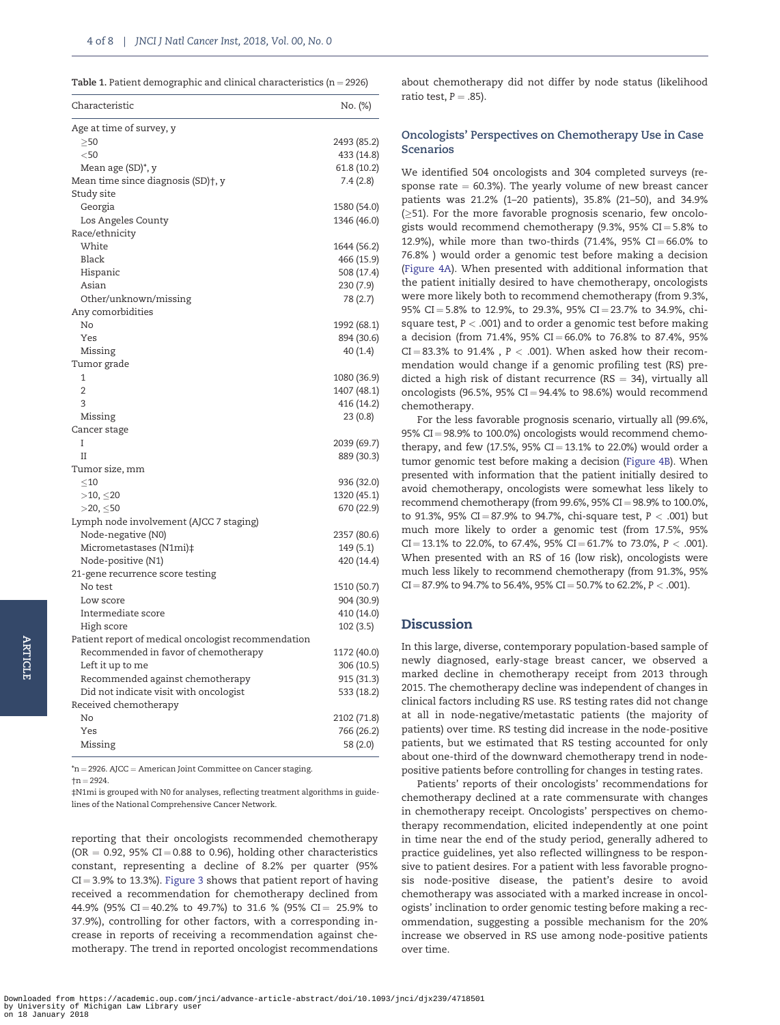<span id="page-3-0"></span>

|  |  |  | <b>Table 1.</b> Patient demographic and clinical characteristics (n = 2926) |  |  |  |  |  |  |
|--|--|--|-----------------------------------------------------------------------------|--|--|--|--|--|--|
|--|--|--|-----------------------------------------------------------------------------|--|--|--|--|--|--|

| Characteristic                                                | No. (%)                  |
|---------------------------------------------------------------|--------------------------|
| Age at time of survey, y                                      |                          |
| >50                                                           | 2493 (85.2)              |
| $<$ 50                                                        | 433 (14.8)               |
| Mean age (SD)*, y                                             | 61.8 (10.2)              |
| Mean time since diagnosis (SD)†, y                            | 7.4 (2.8)                |
| Study site                                                    |                          |
| Georgia                                                       | 1580 (54.0)              |
| Los Angeles County                                            | 1346 (46.0)              |
| Race/ethnicity                                                |                          |
| White                                                         | 1644 (56.2)              |
| Black                                                         | 466 (15.9)               |
| Hispanic                                                      | 508 (17.4)               |
| Asian                                                         | 230(7.9)                 |
| Other/unknown/missing                                         | 78 (2.7)                 |
| Any comorbidities                                             |                          |
| No                                                            | 1992 (68.1)              |
| Yes                                                           | 894 (30.6)               |
| Missing                                                       | 40 (1.4)                 |
| Tumor grade                                                   |                          |
| 1                                                             | 1080 (36.9)              |
| $\overline{2}$                                                | 1407 (48.1)              |
| 3                                                             | 416 (14.2)               |
| Missing                                                       | 23(0.8)                  |
| Cancer stage                                                  |                          |
| I                                                             | 2039 (69.7)              |
| $\mathbf{I}$                                                  | 889 (30.3)               |
| Tumor size, mm                                                |                          |
| $\leq$ 10                                                     | 936 (32.0)               |
| $>10, \leq 20$                                                | 1320 (45.1)              |
| $>$ 20, $\leq$ 50                                             | 670 (22.9)               |
| Lymph node involvement (AJCC 7 staging)<br>Node-negative (N0) |                          |
| Micrometastases (N1mi)‡                                       | 2357 (80.6)<br>149 (5.1) |
| Node-positive (N1)                                            | 420 (14.4)               |
| 21-gene recurrence score testing                              |                          |
| No test                                                       | 1510 (50.7)              |
| Low score                                                     | 904 (30.9)               |
| Intermediate score                                            | 410 (14.0)               |
| High score                                                    | 102 (3.5)                |
| Patient report of medical oncologist recommendation           |                          |
| Recommended in favor of chemotherapy                          | 1172 (40.0)              |
| Left it up to me                                              | 306 (10.5)               |
| Recommended against chemotherapy                              | 915 (31.3)               |
| Did not indicate visit with oncologist                        | 533 (18.2)               |
| Received chemotherapy                                         |                          |
| No                                                            | 2102 (71.8)              |
| Yes                                                           | 766 (26.2)               |
| Missing                                                       | 58 (2.0)                 |
|                                                               |                          |

 $'n = 2926.$  AJCC = American Joint Committee on Cancer staging.

 $+n = 2924.$ 

‡N1mi is grouped with N0 for analyses, reflecting treatment algorithms in guidelines of the National Comprehensive Cancer Network.

reporting that their oncologists recommended chemotherapy (OR  $=$  0.92, 95% CI  $=$  0.88 to 0.96), holding other characteristics constant, representing a decline of 8.2% per quarter (95%  $CI = 3.9\%$  to 13.3%). [Figure 3](#page-5-0) shows that patient report of having received a recommendation for chemotherapy declined from 44.9% (95% CI = 40.2% to 49.7%) to 31.6 % (95% CI = 25.9% to 37.9%), controlling for other factors, with a corresponding increase in reports of receiving a recommendation against chemotherapy. The trend in reported oncologist recommendations

about chemotherapy did not differ by node status (likelihood ratio test,  $P = .85$ ).

#### Oncologists' Perspectives on Chemotherapy Use in Case Scenarios

We identified 504 oncologists and 304 completed surveys (response rate  $= 60.3\%$ ). The yearly volume of new breast cancer patients was 21.2% (1–20 patients), 35.8% (21–50), and 34.9%  $(\geq$ 51). For the more favorable prognosis scenario, few oncologists would recommend chemotherapy (9.3%, 95% CI =  $5.8\%$  to 12.9%), while more than two-thirds (71.4%, 95% CI = 66.0% to 76.8% ) would order a genomic test before making a decision ([Figure 4A\)](#page-6-0). When presented with additional information that the patient initially desired to have chemotherapy, oncologists were more likely both to recommend chemotherapy (from 9.3%, 95% CI = 5.8% to 12.9%, to 29.3%, 95% CI = 23.7% to 34.9%, chisquare test,  $P < .001$ ) and to order a genomic test before making a decision (from 71.4%, 95% CI = 66.0% to 76.8% to 87.4%, 95%  $CI = 83.3\%$  to 91.4%,  $P < .001$ ). When asked how their recommendation would change if a genomic profiling test (RS) predicted a high risk of distant recurrence ( $RS = 34$ ), virtually all oncologists (96.5%, 95% CI = 94.4% to 98.6%) would recommend chemotherapy.

For the less favorable prognosis scenario, virtually all (99.6%, 95% CI = 98.9% to 100.0%) oncologists would recommend chemotherapy, and few (17.5%,  $95\%$  CI = 13.1% to 22.0%) would order a tumor genomic test before making a decision [\(Figure 4B\)](#page-6-0). When presented with information that the patient initially desired to avoid chemotherapy, oncologists were somewhat less likely to recommend chemotherapy (from 99.6%, 95%  $CI = 98.9\%$  to 100.0%, to 91.3%, 95% CI = 87.9% to 94.7%, chi-square test,  $P < .001$ ) but much more likely to order a genomic test (from 17.5%, 95%  $CI = 13.1\%$  to 22.0%, to 67.4%, 95%  $CI = 61.7\%$  to 73.0%, P < .001). When presented with an RS of 16 (low risk), oncologists were much less likely to recommend chemotherapy (from 91.3%, 95%  $CI = 87.9\%$  to 94.7% to 56.4%, 95%  $CI = 50.7\%$  to 62.2%,  $P < .001$ ).

## Discussion

In this large, diverse, contemporary population-based sample of newly diagnosed, early-stage breast cancer, we observed a marked decline in chemotherapy receipt from 2013 through 2015. The chemotherapy decline was independent of changes in clinical factors including RS use. RS testing rates did not change at all in node-negative/metastatic patients (the majority of patients) over time. RS testing did increase in the node-positive patients, but we estimated that RS testing accounted for only about one-third of the downward chemotherapy trend in nodepositive patients before controlling for changes in testing rates.

Patients' reports of their oncologists' recommendations for chemotherapy declined at a rate commensurate with changes in chemotherapy receipt. Oncologists' perspectives on chemotherapy recommendation, elicited independently at one point in time near the end of the study period, generally adhered to practice guidelines, yet also reflected willingness to be responsive to patient desires. For a patient with less favorable prognosis node-positive disease, the patient's desire to avoid chemotherapy was associated with a marked increase in oncologists' inclination to order genomic testing before making a recommendation, suggesting a possible mechanism for the 20% increase we observed in RS use among node-positive patients over time.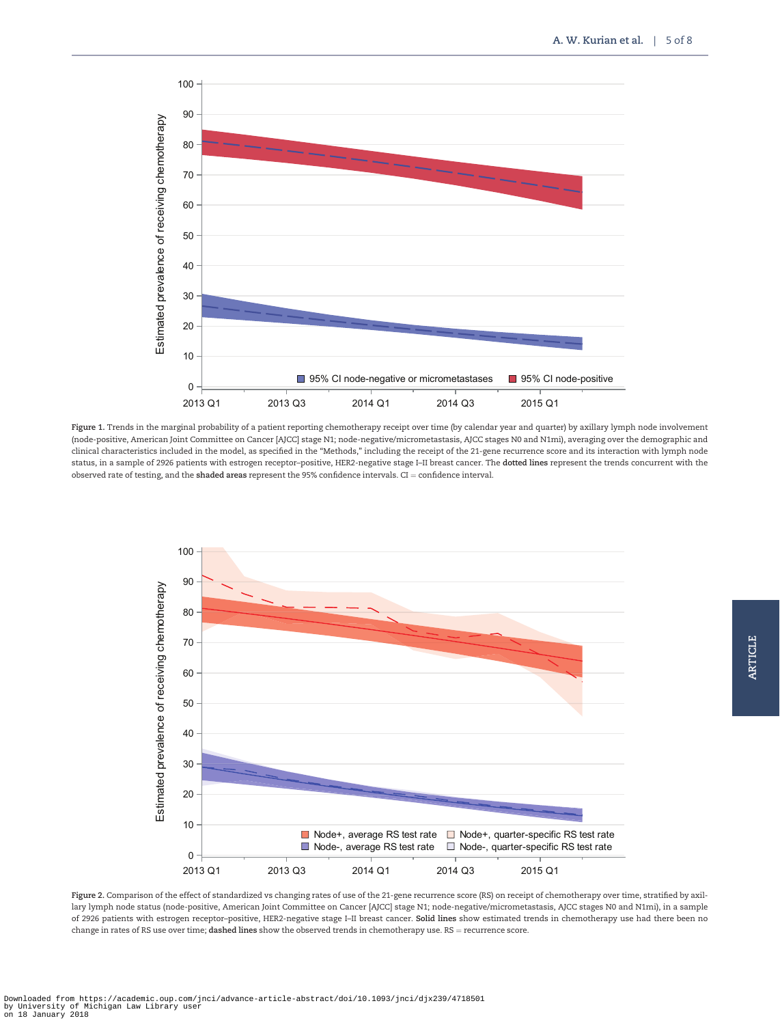<span id="page-4-0"></span>

Figure 1. Trends in the marginal probability of a patient reporting chemotherapy receipt over time (by calendar year and quarter) by axillary lymph node involvement (node-positive, American Joint Committee on Cancer [AJCC] stage N1; node-negative/micrometastasis, AJCC stages N0 and N1mi), averaging over the demographic and clinical characteristics included in the model, as specified in the "Methods," including the receipt of the 21-gene recurrence score and its interaction with lymph node status, in a sample of 2926 patients with estrogen receptor-positive, HER2-negative stage I-II breast cancer. The dotted lines represent the trends concurrent with the observed rate of testing, and the shaded areas represent the 95% confidence intervals. CI = confidence interval.



Figure 2. Comparison of the effect of standardized vs changing rates of use of the 21-gene recurrence score (RS) on receipt of chemotherapy over time, stratified by axillary lymph node status (node-positive, American Joint Committee on Cancer [AJCC] stage N1; node-negative/micrometastasis, AJCC stages N0 and N1mi), in a sample of 2926 patients with estrogen receptor–positive, HER2-negative stage I–II breast cancer. Solid lines show estimated trends in chemotherapy use had there been no change in rates of RS use over time; dashed lines show the observed trends in chemotherapy use. RS = recurrence score.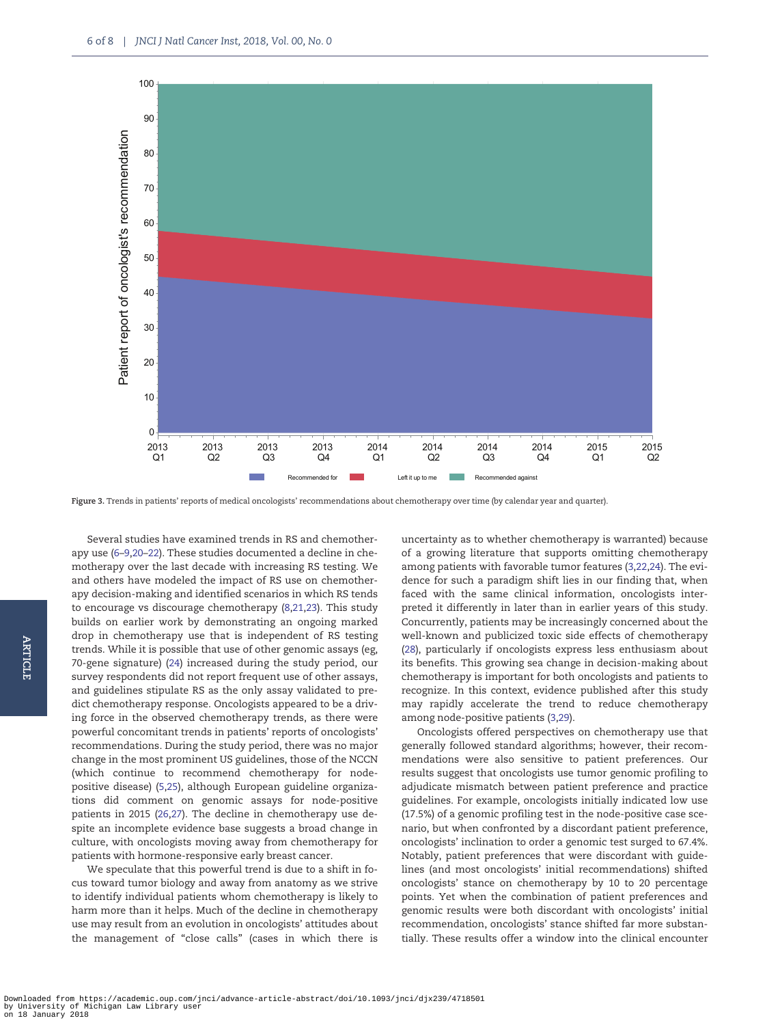<span id="page-5-0"></span>

Figure 3. Trends in patients' reports of medical oncologists' recommendations about chemotherapy over time (by calendar year and quarter).

Several studies have examined trends in RS and chemotherapy use ([6](#page-7-0)–[9,20–22](#page-7-0)). These studies documented a decline in chemotherapy over the last decade with increasing RS testing. We and others have modeled the impact of RS use on chemotherapy decision-making and identified scenarios in which RS tends to encourage vs discourage chemotherapy [\(8,21,23](#page-7-0)). This study builds on earlier work by demonstrating an ongoing marked drop in chemotherapy use that is independent of RS testing trends. While it is possible that use of other genomic assays (eg, 70-gene signature) ([24](#page-7-0)) increased during the study period, our survey respondents did not report frequent use of other assays, and guidelines stipulate RS as the only assay validated to predict chemotherapy response. Oncologists appeared to be a driving force in the observed chemotherapy trends, as there were powerful concomitant trends in patients' reports of oncologists' recommendations. During the study period, there was no major change in the most prominent US guidelines, those of the NCCN (which continue to recommend chemotherapy for nodepositive disease) [\(5](#page-7-0),[25\)](#page-7-0), although European guideline organizations did comment on genomic assays for node-positive patients in 2015 [\(26,27](#page-7-0)). The decline in chemotherapy use despite an incomplete evidence base suggests a broad change in culture, with oncologists moving away from chemotherapy for patients with hormone-responsive early breast cancer.

We speculate that this powerful trend is due to a shift in focus toward tumor biology and away from anatomy as we strive to identify individual patients whom chemotherapy is likely to harm more than it helps. Much of the decline in chemotherapy use may result from an evolution in oncologists' attitudes about the management of "close calls" (cases in which there is

uncertainty as to whether chemotherapy is warranted) because of a growing literature that supports omitting chemotherapy among patients with favorable tumor features ([3,22,24](#page-7-0)). The evidence for such a paradigm shift lies in our finding that, when faced with the same clinical information, oncologists interpreted it differently in later than in earlier years of this study. Concurrently, patients may be increasingly concerned about the well-known and publicized toxic side effects of chemotherapy ([28](#page-7-0)), particularly if oncologists express less enthusiasm about its benefits. This growing sea change in decision-making about chemotherapy is important for both oncologists and patients to recognize. In this context, evidence published after this study may rapidly accelerate the trend to reduce chemotherapy among node-positive patients [\(3](#page-7-0),[29\)](#page-7-0).

Oncologists offered perspectives on chemotherapy use that generally followed standard algorithms; however, their recommendations were also sensitive to patient preferences. Our results suggest that oncologists use tumor genomic profiling to adjudicate mismatch between patient preference and practice guidelines. For example, oncologists initially indicated low use (17.5%) of a genomic profiling test in the node-positive case scenario, but when confronted by a discordant patient preference, oncologists' inclination to order a genomic test surged to 67.4%. Notably, patient preferences that were discordant with guidelines (and most oncologists' initial recommendations) shifted oncologists' stance on chemotherapy by 10 to 20 percentage points. Yet when the combination of patient preferences and genomic results were both discordant with oncologists' initial recommendation, oncologists' stance shifted far more substantially. These results offer a window into the clinical encounter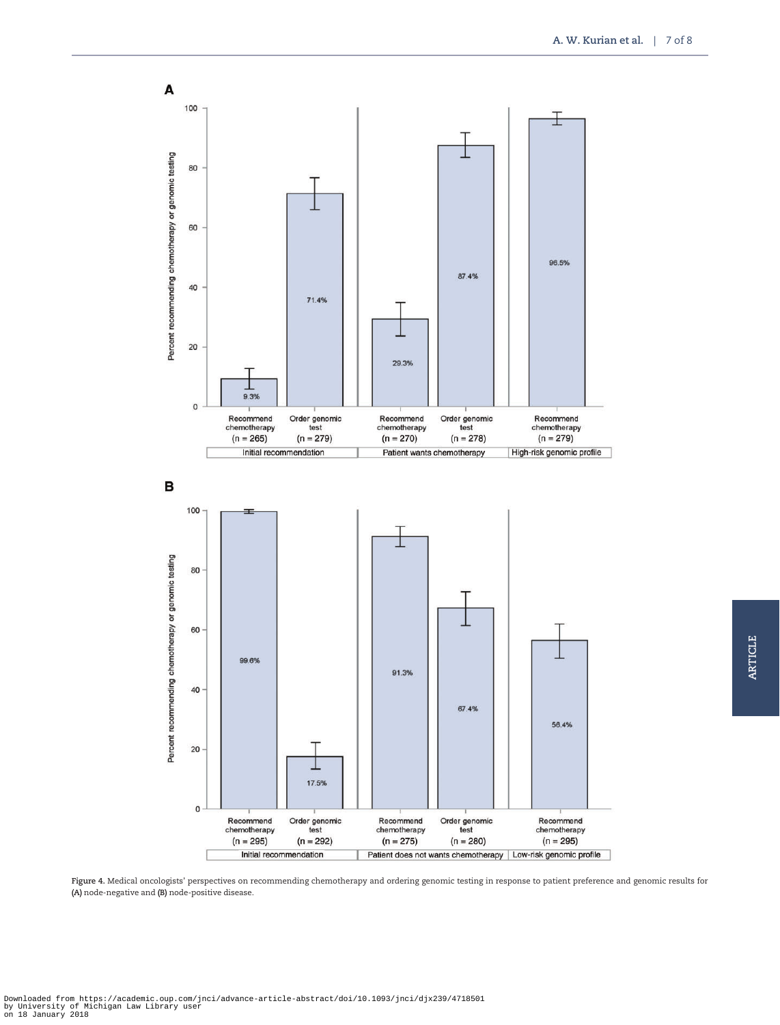<span id="page-6-0"></span>

Figure 4. Medical oncologists' perspectives on recommending chemotherapy and ordering genomic testing in response to patient preference and genomic results for (A) node-negative and (B) node-positive disease.